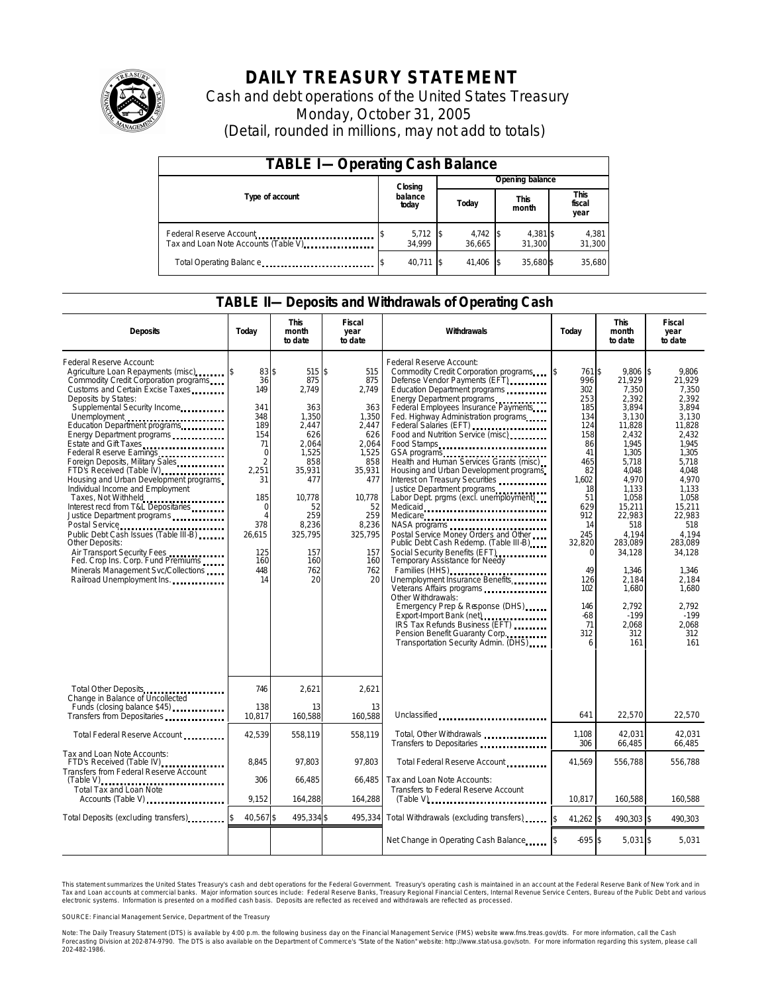

# **DAILY TREASURY STATEMENT**

Cash and debt operations of the United States Treasury Monday, October 31, 2005 (Detail, rounded in millions, may not add to totals)

| <b>TABLE I-Operating Cash Balance</b>                           |  |                             |  |                 |  |                      |  |                        |  |
|-----------------------------------------------------------------|--|-----------------------------|--|-----------------|--|----------------------|--|------------------------|--|
|                                                                 |  | Closing<br>balance<br>today |  | Opening balance |  |                      |  |                        |  |
| Type of account                                                 |  |                             |  | Today           |  | <b>This</b><br>month |  | This<br>fiscal<br>year |  |
| Federal Reserve Account<br>Tax and Loan Note Accounts (Table V) |  | $5,712$ \$<br>34.999        |  | 4,742<br>36.665 |  | 4,381 \$<br>31,300   |  | 4,381<br>31,300        |  |
| Total Operating Balance                                         |  | 40.711 \$                   |  | 41.406          |  | 35.680 \$            |  | 35.680                 |  |

## **TABLE II—Deposits and Withdrawals of Operating Cash**

| <b>Deposits</b>                                                                                                                                                                                                                                                                                                                                                                                                                                                                                                                                                                                                                                                                                                                                                          | Today                                                                                                                                                                                 | <b>This</b><br>month<br>to date                                                                                                                                      | <b>Fiscal</b><br><b>This</b><br>Withdrawals<br>Today<br>year<br>month<br>to date<br>to date                                                                         |                                                                                                                                                                                                                                                                                                                                                                                                                                                                                                                                                                                                                                                                                                                                                                                                                                                                                                                                                                                |                                                                                                                                                                                                                    |                                                                                                                                                                                                                                                                     | <b>Fiscal</b><br>year<br>to date                                                                                                                                                                                                                                           |
|--------------------------------------------------------------------------------------------------------------------------------------------------------------------------------------------------------------------------------------------------------------------------------------------------------------------------------------------------------------------------------------------------------------------------------------------------------------------------------------------------------------------------------------------------------------------------------------------------------------------------------------------------------------------------------------------------------------------------------------------------------------------------|---------------------------------------------------------------------------------------------------------------------------------------------------------------------------------------|----------------------------------------------------------------------------------------------------------------------------------------------------------------------|---------------------------------------------------------------------------------------------------------------------------------------------------------------------|--------------------------------------------------------------------------------------------------------------------------------------------------------------------------------------------------------------------------------------------------------------------------------------------------------------------------------------------------------------------------------------------------------------------------------------------------------------------------------------------------------------------------------------------------------------------------------------------------------------------------------------------------------------------------------------------------------------------------------------------------------------------------------------------------------------------------------------------------------------------------------------------------------------------------------------------------------------------------------|--------------------------------------------------------------------------------------------------------------------------------------------------------------------------------------------------------------------|---------------------------------------------------------------------------------------------------------------------------------------------------------------------------------------------------------------------------------------------------------------------|----------------------------------------------------------------------------------------------------------------------------------------------------------------------------------------------------------------------------------------------------------------------------|
| Federal Reserve Account:<br>Agriculture Loan Repayments (misc)<br>Commodity Credit Corporation programs<br>Customs and Certain Excise Taxes<br>Deposits by States:<br>Supplemental Security Income<br>Education Department programs<br>Energy Department programs<br>Estate and Gift Taxes<br>Federal Reserve Earnings<br>Foreign Deposits, Military Sales<br>FTD's Received (Table IV)<br>Housing and Urban Development programs<br>Individual Income and Employment<br>Taxes, Not Withheld<br>Interest recd from T&L Depositaries<br>Justice Department programs<br>Public Debt Cash Issues (Table III-B)<br>Other Deposits:<br>Air Transport Security Fees<br>Fed. Crop Ins. Corp. Fund Premiums<br>Minerals Management Svc/Collections<br>Railroad Unemployment Ins. | 83 \$<br>36<br>149<br>341<br>348<br>189<br>154<br>71<br>$\Omega$<br>$\overline{2}$<br>2,251<br>31<br>185<br>$\mathbf 0$<br>$\overline{A}$<br>378<br>26,615<br>125<br>160<br>448<br>14 | 515S<br>875<br>2,749<br>363<br>1,350<br>2.447<br>626<br>2.064<br>1,525<br>858<br>35,931<br>477<br>10.778<br>52<br>259<br>8,236<br>325,795<br>157<br>160<br>762<br>20 | 515<br>875<br>2,749<br>363<br>1,350<br>2.447<br>626<br>2.064<br>1,525<br>858<br>35,931<br>477<br>10.778<br>52<br>259<br>8,236<br>325,795<br>157<br>160<br>762<br>20 | Federal Reserve Account:<br>Commodity Credit Corporation programs<br>Defense Vendor Payments (EFT)<br>Education Department programs<br>Energy Department programs<br>Federal Employees Insurance Payments<br>Fed. Highway Administration programs<br>Federal Salaries (EFT)<br>Food and Nutrition Service (misc)<br>Food Stamps<br>GSA programs<br>Health and Human Services Grants (misc)<br>Housing and Urban Development programs<br>Interest on Treasury Securities<br>Justice Department programs<br>Labor Dept. prgms (excl. unemployment)<br>Medicaid<br>Medicare<br>NASA programs<br>Postal Service Money Orders and Other<br>Public Debt Cash Redemp. (Table III-B)<br>Social Security Benefits (EFT)<br><br>Temporary Assistance for Needy<br>Families (HHS)<br>Unemployment Insurance Benefits<br>Other Withdrawals:<br>Emergency Prep & Response (DHS)<br>IRS Tax Refunds Business (EFT)<br>Pension Benefit Guaranty Corp.<br>Transportation Security Admin. (DHS) | 761 \$<br>ß.<br>996<br>302<br>253<br>185<br>134<br>124<br>158<br>86<br>41<br>465<br>82<br>1,602<br>18<br>51<br>629<br>912<br>14<br>245<br>32,820<br>$\Omega$<br>49<br>126<br>102<br>146<br>$-68$<br>71<br>312<br>6 | 9.806<br>21,929<br>7,350<br>2,392<br>3,894<br>3,130<br>11,828<br>2.432<br>1.945<br>1,305<br>5.718<br>4.048<br>4,970<br>1,133<br>1,058<br>15,211<br>22.983<br>518<br>4.194<br>283,089<br>34,128<br>1,346<br>2,184<br>1,680<br>2.792<br>$-199$<br>2.068<br>312<br>161 | 9.806<br>1\$<br>21,929<br>7.350<br>2.392<br>3.894<br>3.130<br>11.828<br>2,432<br>1.945<br>1.305<br>5.718<br>4.048<br>4.970<br>1.133<br>1.058<br>15,211<br>22.983<br>518<br>4.194<br>283,089<br>34,128<br>1,346<br>2,184<br>1,680<br>2.792<br>$-199$<br>2.068<br>312<br>161 |
| Total Other Deposits<br>Change in Balance of Uncollected<br>Funds (closing balance \$45)<br>Funds (closing balance \$45)                                                                                                                                                                                                                                                                                                                                                                                                                                                                                                                                                                                                                                                 | 746<br>138                                                                                                                                                                            | 2,621<br>13                                                                                                                                                          | 2,621<br>13                                                                                                                                                         |                                                                                                                                                                                                                                                                                                                                                                                                                                                                                                                                                                                                                                                                                                                                                                                                                                                                                                                                                                                |                                                                                                                                                                                                                    |                                                                                                                                                                                                                                                                     |                                                                                                                                                                                                                                                                            |
| Transfers from Depositaries                                                                                                                                                                                                                                                                                                                                                                                                                                                                                                                                                                                                                                                                                                                                              | 10,817                                                                                                                                                                                | 160,588                                                                                                                                                              | 160,588                                                                                                                                                             | Unclassified                                                                                                                                                                                                                                                                                                                                                                                                                                                                                                                                                                                                                                                                                                                                                                                                                                                                                                                                                                   | 641                                                                                                                                                                                                                | 22,570                                                                                                                                                                                                                                                              | 22,570                                                                                                                                                                                                                                                                     |
| Total Federal Reserve Account                                                                                                                                                                                                                                                                                                                                                                                                                                                                                                                                                                                                                                                                                                                                            | 42,539                                                                                                                                                                                | 558,119                                                                                                                                                              | 558,119                                                                                                                                                             | Total, Other Withdrawals<br>Transfers to Depositaries                                                                                                                                                                                                                                                                                                                                                                                                                                                                                                                                                                                                                                                                                                                                                                                                                                                                                                                          | 1,108<br>306                                                                                                                                                                                                       | 42,031<br>66,485                                                                                                                                                                                                                                                    | 42,031<br>66,485                                                                                                                                                                                                                                                           |
| Tax and Loan Note Accounts:<br>FTD's Received (Table IV)<br>Transfers from Federal Reserve Account                                                                                                                                                                                                                                                                                                                                                                                                                                                                                                                                                                                                                                                                       | 8.845                                                                                                                                                                                 | 97.803                                                                                                                                                               | 97.803                                                                                                                                                              | Total Federal Reserve Account                                                                                                                                                                                                                                                                                                                                                                                                                                                                                                                                                                                                                                                                                                                                                                                                                                                                                                                                                  | 41,569                                                                                                                                                                                                             | 556,788                                                                                                                                                                                                                                                             | 556,788                                                                                                                                                                                                                                                                    |
| $(Table V)$<br>Total Tax and Loan Note<br>Accounts (Table V)                                                                                                                                                                                                                                                                                                                                                                                                                                                                                                                                                                                                                                                                                                             | 306<br>9.152                                                                                                                                                                          | 66.485<br>164,288                                                                                                                                                    | 66.485<br>164,288                                                                                                                                                   | Tax and Loan Note Accounts:<br>Transfers to Federal Reserve Account<br>$(Table V)$                                                                                                                                                                                                                                                                                                                                                                                                                                                                                                                                                                                                                                                                                                                                                                                                                                                                                             | 10.817                                                                                                                                                                                                             | 160,588                                                                                                                                                                                                                                                             | 160.588                                                                                                                                                                                                                                                                    |
| Total Deposits (excluding transfers)                                                                                                                                                                                                                                                                                                                                                                                                                                                                                                                                                                                                                                                                                                                                     | 40,567\$                                                                                                                                                                              | 495,334\$                                                                                                                                                            | 495,334                                                                                                                                                             | Total Withdrawals (excluding transfers)                                                                                                                                                                                                                                                                                                                                                                                                                                                                                                                                                                                                                                                                                                                                                                                                                                                                                                                                        | $41.262$ \$<br><sup>\$</sup>                                                                                                                                                                                       | 490.303 \$                                                                                                                                                                                                                                                          | 490.303                                                                                                                                                                                                                                                                    |
|                                                                                                                                                                                                                                                                                                                                                                                                                                                                                                                                                                                                                                                                                                                                                                          |                                                                                                                                                                                       |                                                                                                                                                                      |                                                                                                                                                                     |                                                                                                                                                                                                                                                                                                                                                                                                                                                                                                                                                                                                                                                                                                                                                                                                                                                                                                                                                                                | $-695$ \$                                                                                                                                                                                                          | $5,031$ \$                                                                                                                                                                                                                                                          | 5,031                                                                                                                                                                                                                                                                      |

This statement summarizes the United States Treasury's cash and debt operations for the Federal Government. Treasury's operating cash is maintained in an account at the Federal Reserve Bank of New York and in Tax and Loan accounts at commercial banks. Major information sources include: Federal Reserve Banks, Treasury Regional Financial Centers, Internal Revenue Service Centers, Bureau of the Public Debt and various<br>electronic s

SOURCE: Financial Management Service, Department of the Treasury

Note: The Daily Treasury Statement (DTS) is available by 4:00 p.m. the following business day on the Financial Management Service (FMS) website www.fms.treas.gov/dts. For more information, call the Cash<br>Forecasting Divisio